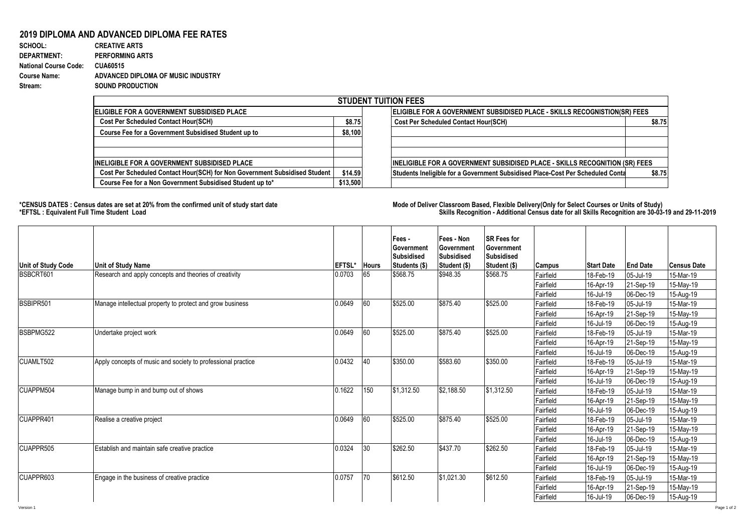## **2019 DIPLOMA AND ADVANCED DIPLOMA FEE RATES**

**SCHOOL: CREATIVE ARTS** 925 1 0.001081081 **DEPARTMENT: PERFORMING ARTS National Course Code: CUA60515 Course Name: ADVANCED DIPLOMA OF MUSIC INDUSTRY Stream: SOUND PRODUCTION**

|                                                                            |                                                                           | <b>STUDENT TUITION FEES</b>                                                              |  |  |  |  |
|----------------------------------------------------------------------------|---------------------------------------------------------------------------|------------------------------------------------------------------------------------------|--|--|--|--|
| <b>IELIGIBLE FOR A GOVERNMENT SUBSIDISED PLACE</b>                         | ELIGIBLE FOR A GOVERNMENT SUBSIDISED PLACE - SKILLS RECOGNISTION(SR) FEES |                                                                                          |  |  |  |  |
| <b>Cost Per Scheduled Contact Hour(SCH)</b>                                | \$8.75                                                                    | <b>Cost Per Scheduled Contact Hour(SCH)</b><br>\$8.75                                    |  |  |  |  |
| Course Fee for a Government Subsidised Student up to                       | \$8,100                                                                   |                                                                                          |  |  |  |  |
| <b>INELIGIBLE FOR A GOVERNMENT SUBSIDISED PLACE</b>                        |                                                                           | IINELIGIBLE FOR A GOVERNMENT SUBSIDISED PLACE - SKILLS RECOGNITION (SR) FEES             |  |  |  |  |
| Cost Per Scheduled Contact Hour(SCH) for Non Government Subsidised Student | \$14.59                                                                   | Students Ineligible for a Government Subsidised Place-Cost Per Scheduled Conta<br>\$8.75 |  |  |  |  |
| Course Fee for a Non Government Subsidised Student up to*                  | \$13,500                                                                  |                                                                                          |  |  |  |  |

**\*CENSUS DATES : Census dates are set at 20% from the confirmed unit of study start date Mode of Delivery:Classroom Based, Flexible Delivery(Only for Select Courses or Units of Study) \*EFTSL : Equivalent Full Time Student Load Skills Recognition - Additional Census date for all Skills Recognition are 30-03-19 and 29-11-2019** 

| Unit of Study Code | <b>Unit of Study Name</b>                                    | <b>EFTSL*</b> | <b>Hours</b> | Fees -<br>Government<br><b>Subsidised</b><br>Students (\$) | Fees - Non<br>Government<br><b>Subsidised</b><br>Student (\$) | <b>SR Fees for</b><br><b>Government</b><br><b>Subsidised</b><br>Student (\$) | <b>Campus</b> | <b>Start Date</b> | <b>End Date</b> | <b>Census Date</b> |
|--------------------|--------------------------------------------------------------|---------------|--------------|------------------------------------------------------------|---------------------------------------------------------------|------------------------------------------------------------------------------|---------------|-------------------|-----------------|--------------------|
| BSBCRT601          | Research and apply concepts and theories of creativity       | 0.0703        | 65           | \$568.75                                                   | \$948.35                                                      | \$568.75                                                                     | Fairfield     | 18-Feb-19         | 05-Jul-19       | 15-Mar-19          |
|                    |                                                              |               |              |                                                            |                                                               |                                                                              | Fairfield     | 16-Apr-19         | 21-Sep-19       | 15-May-19          |
|                    |                                                              |               |              |                                                            |                                                               |                                                                              | Fairfield     | 16-Jul-19         | 06-Dec-19       | 15-Aug-19          |
| BSBIPR501          | Manage intellectual property to protect and grow business    | 0.0649        | 60           | \$525.00                                                   | \$875.40                                                      | \$525.00                                                                     | Fairfield     | 18-Feb-19         | 05-Jul-19       | 15-Mar-19          |
|                    |                                                              |               |              |                                                            |                                                               |                                                                              | Fairfield     | 16-Apr-19         | 21-Sep-19       | 15-May-19          |
|                    |                                                              |               |              |                                                            |                                                               |                                                                              | Fairfield     | 16-Jul-19         | 06-Dec-19       | 15-Aug-19          |
| BSBPMG522          | Undertake project work                                       | 0.0649        | 60           | \$525.00                                                   | \$875.40                                                      | \$525.00                                                                     | Fairfield     | 18-Feb-19         | 05-Jul-19       | 15-Mar-19          |
|                    |                                                              |               |              |                                                            |                                                               |                                                                              | Fairfield     | 16-Apr-19         | 21-Sep-19       | 15-May-19          |
|                    |                                                              |               |              |                                                            |                                                               |                                                                              | Fairfield     | 16-Jul-19         | 06-Dec-19       | 15-Aug-19          |
| CUAMLT502          | Apply concepts of music and society to professional practice | 0.0432        | 40           | \$350.00                                                   | \$583.60                                                      | \$350.00                                                                     | Fairfield     | 18-Feb-19         | 05-Jul-19       | 15-Mar-19          |
|                    |                                                              |               |              |                                                            |                                                               |                                                                              | Fairfield     | 16-Apr-19         | 21-Sep-19       | 15-May-19          |
|                    |                                                              |               |              |                                                            |                                                               |                                                                              | Fairfield     | 16-Jul-19         | 06-Dec-19       | 15-Aug-19          |
| CUAPPM504          | Manage bump in and bump out of shows                         | 0.1622        | 150          | \$1,312.50                                                 | \$2,188.50                                                    | \$1.312.50                                                                   | Fairfield     | 18-Feb-19         | 05-Jul-19       | 15-Mar-19          |
|                    |                                                              |               |              |                                                            |                                                               |                                                                              | Fairfield     | 16-Apr-19         | 21-Sep-19       | 15-May-19          |
|                    |                                                              |               |              |                                                            |                                                               |                                                                              | Fairfield     | 16-Jul-19         | 06-Dec-19       | 15-Aug-19          |
| CUAPPR401          | Realise a creative project                                   | 0.0649        | 60           | \$525.00                                                   | \$875.40                                                      | \$525.00                                                                     | Fairfield     | 18-Feb-19         | 05-Jul-19       | 15-Mar-19          |
|                    |                                                              |               |              |                                                            |                                                               |                                                                              | Fairfield     | 16-Apr-19         | 21-Sep-19       | 15-May-19          |
|                    |                                                              |               |              |                                                            |                                                               |                                                                              | Fairfield     | 16-Jul-19         | 06-Dec-19       | 15-Aug-19          |
| CUAPPR505          | Establish and maintain safe creative practice                | 0.0324        | 30           | \$262.50                                                   | \$437.70                                                      | \$262.50                                                                     | Fairfield     | 18-Feb-19         | 05-Jul-19       | 15-Mar-19          |
|                    |                                                              |               |              |                                                            |                                                               |                                                                              | Fairfield     | 16-Apr-19         | 21-Sep-19       | 15-May-19          |
|                    |                                                              |               |              |                                                            |                                                               |                                                                              | Fairfield     | 16-Jul-19         | 06-Dec-19       | 15-Aug-19          |
| CUAPPR603          | Engage in the business of creative practice                  | 0.0757        | 70           | \$612.50                                                   | \$1,021.30                                                    | \$612.50                                                                     | Fairfield     | 18-Feb-19         | 05-Jul-19       | 15-Mar-19          |
|                    |                                                              |               |              |                                                            |                                                               |                                                                              | Fairfield     | 16-Apr-19         | 21-Sep-19       | 15-May-19          |
|                    |                                                              |               |              |                                                            |                                                               |                                                                              | Fairfield     | 16-Jul-19         | 06-Dec-19       | 15-Aug-19          |